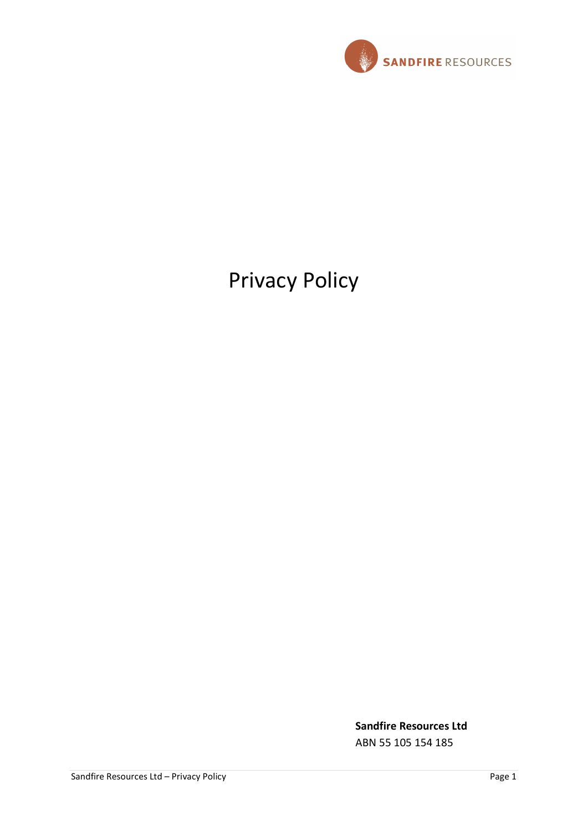

# Privacy Policy

Sandfire Resources Ltd

ABN 55 105 154 185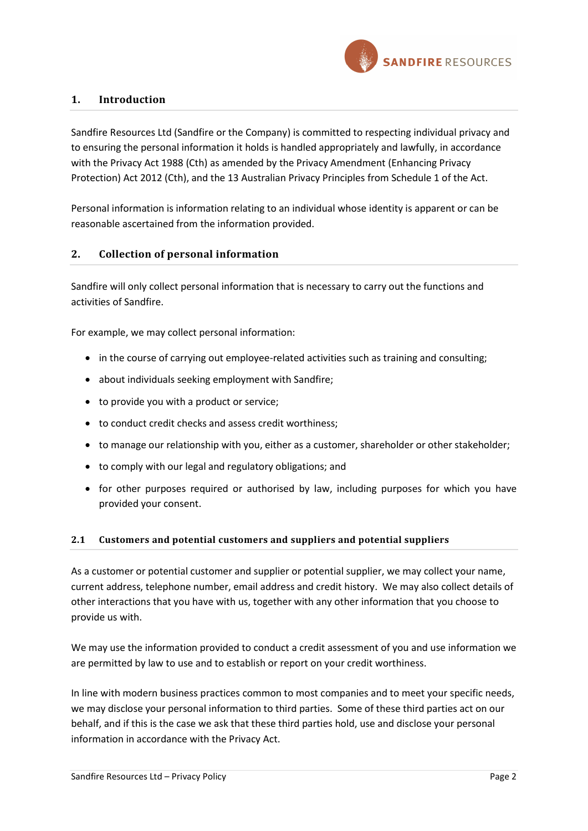

# 1. Introduction

Sandfire Resources Ltd (Sandfire or the Company) is committed to respecting individual privacy and to ensuring the personal information it holds is handled appropriately and lawfully, in accordance with the Privacy Act 1988 (Cth) as amended by the Privacy Amendment (Enhancing Privacy Protection) Act 2012 (Cth), and the 13 Australian Privacy Principles from Schedule 1 of the Act.

Personal information is information relating to an individual whose identity is apparent or can be reasonable ascertained from the information provided.

# 2. Collection of personal information

Sandfire will only collect personal information that is necessary to carry out the functions and activities of Sandfire.

For example, we may collect personal information:

- in the course of carrying out employee-related activities such as training and consulting;
- about individuals seeking employment with Sandfire;
- to provide you with a product or service;
- to conduct credit checks and assess credit worthiness;
- to manage our relationship with you, either as a customer, shareholder or other stakeholder;
- to comply with our legal and regulatory obligations; and
- for other purposes required or authorised by law, including purposes for which you have provided your consent.

## 2.1 Customers and potential customers and suppliers and potential suppliers

As a customer or potential customer and supplier or potential supplier, we may collect your name, current address, telephone number, email address and credit history. We may also collect details of other interactions that you have with us, together with any other information that you choose to provide us with.

We may use the information provided to conduct a credit assessment of you and use information we are permitted by law to use and to establish or report on your credit worthiness.

In line with modern business practices common to most companies and to meet your specific needs, we may disclose your personal information to third parties. Some of these third parties act on our behalf, and if this is the case we ask that these third parties hold, use and disclose your personal information in accordance with the Privacy Act.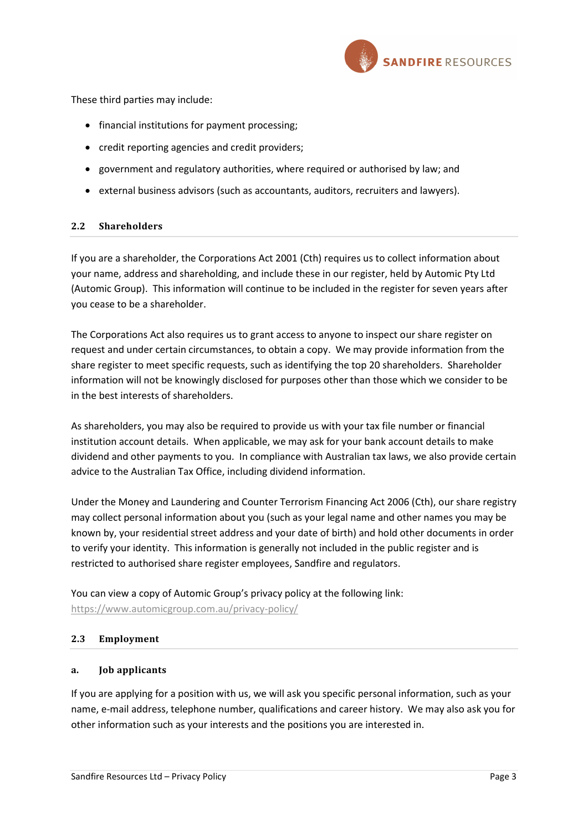

These third parties may include:

- financial institutions for payment processing;
- credit reporting agencies and credit providers;
- government and regulatory authorities, where required or authorised by law; and
- external business advisors (such as accountants, auditors, recruiters and lawyers).

## 2.2 Shareholders

If you are a shareholder, the Corporations Act 2001 (Cth) requires us to collect information about your name, address and shareholding, and include these in our register, held by Automic Pty Ltd (Automic Group). This information will continue to be included in the register for seven years after you cease to be a shareholder.

The Corporations Act also requires us to grant access to anyone to inspect our share register on request and under certain circumstances, to obtain a copy. We may provide information from the share register to meet specific requests, such as identifying the top 20 shareholders. Shareholder information will not be knowingly disclosed for purposes other than those which we consider to be in the best interests of shareholders.

As shareholders, you may also be required to provide us with your tax file number or financial institution account details. When applicable, we may ask for your bank account details to make dividend and other payments to you. In compliance with Australian tax laws, we also provide certain advice to the Australian Tax Office, including dividend information.

Under the Money and Laundering and Counter Terrorism Financing Act 2006 (Cth), our share registry may collect personal information about you (such as your legal name and other names you may be known by, your residential street address and your date of birth) and hold other documents in order to verify your identity. This information is generally not included in the public register and is restricted to authorised share register employees, Sandfire and regulators.

You can view a copy of Automic Group's privacy policy at the following link: https://www.automicgroup.com.au/privacy-policy/

## 2.3 Employment

## a. Job applicants

If you are applying for a position with us, we will ask you specific personal information, such as your name, e-mail address, telephone number, qualifications and career history. We may also ask you for other information such as your interests and the positions you are interested in.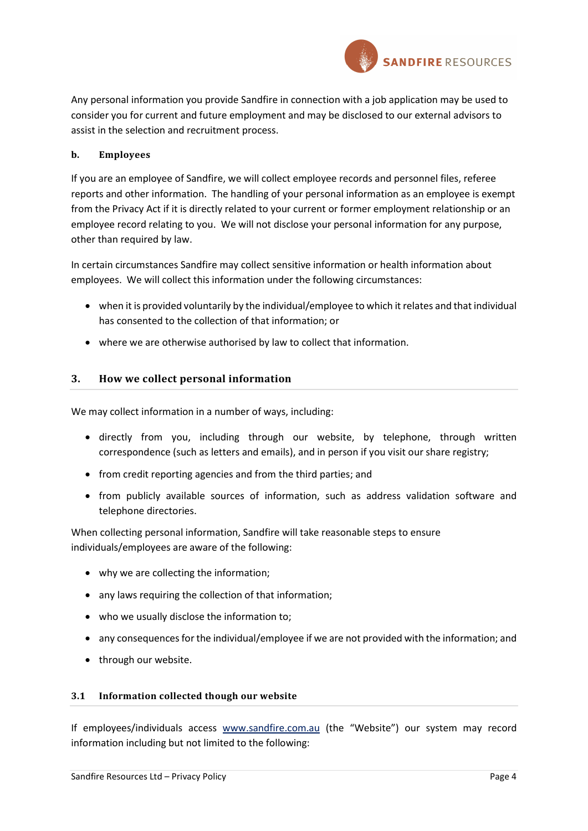

Any personal information you provide Sandfire in connection with a job application may be used to consider you for current and future employment and may be disclosed to our external advisors to assist in the selection and recruitment process.

## b. Employees

If you are an employee of Sandfire, we will collect employee records and personnel files, referee reports and other information. The handling of your personal information as an employee is exempt from the Privacy Act if it is directly related to your current or former employment relationship or an employee record relating to you. We will not disclose your personal information for any purpose, other than required by law.

In certain circumstances Sandfire may collect sensitive information or health information about employees. We will collect this information under the following circumstances:

- when it is provided voluntarily by the individual/employee to which it relates and that individual has consented to the collection of that information; or
- where we are otherwise authorised by law to collect that information.

# 3. How we collect personal information

We may collect information in a number of ways, including:

- directly from you, including through our website, by telephone, through written correspondence (such as letters and emails), and in person if you visit our share registry;
- from credit reporting agencies and from the third parties; and
- from publicly available sources of information, such as address validation software and telephone directories.

When collecting personal information, Sandfire will take reasonable steps to ensure individuals/employees are aware of the following:

- why we are collecting the information;
- any laws requiring the collection of that information;
- who we usually disclose the information to;
- any consequences for the individual/employee if we are not provided with the information; and
- through our website.

# 3.1 Information collected though our website

If employees/individuals access www.sandfire.com.au (the "Website") our system may record information including but not limited to the following: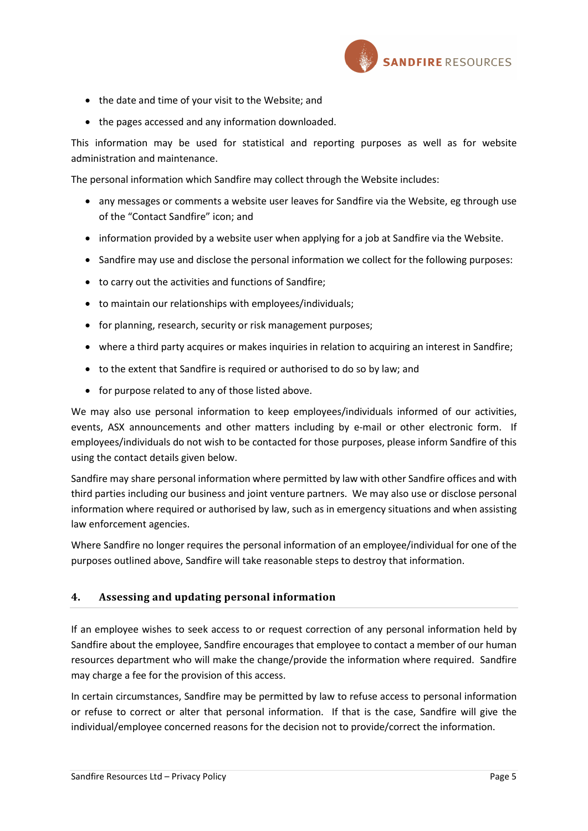

- the date and time of your visit to the Website; and
- the pages accessed and any information downloaded.

This information may be used for statistical and reporting purposes as well as for website administration and maintenance.

The personal information which Sandfire may collect through the Website includes:

- any messages or comments a website user leaves for Sandfire via the Website, eg through use of the "Contact Sandfire" icon; and
- information provided by a website user when applying for a job at Sandfire via the Website.
- Sandfire may use and disclose the personal information we collect for the following purposes:
- to carry out the activities and functions of Sandfire;
- to maintain our relationships with employees/individuals;
- for planning, research, security or risk management purposes;
- where a third party acquires or makes inquiries in relation to acquiring an interest in Sandfire;
- to the extent that Sandfire is required or authorised to do so by law; and
- for purpose related to any of those listed above.

We may also use personal information to keep employees/individuals informed of our activities, events, ASX announcements and other matters including by e-mail or other electronic form. If employees/individuals do not wish to be contacted for those purposes, please inform Sandfire of this using the contact details given below.

Sandfire may share personal information where permitted by law with other Sandfire offices and with third parties including our business and joint venture partners. We may also use or disclose personal information where required or authorised by law, such as in emergency situations and when assisting law enforcement agencies.

Where Sandfire no longer requires the personal information of an employee/individual for one of the purposes outlined above, Sandfire will take reasonable steps to destroy that information.

# 4. Assessing and updating personal information

If an employee wishes to seek access to or request correction of any personal information held by Sandfire about the employee, Sandfire encourages that employee to contact a member of our human resources department who will make the change/provide the information where required. Sandfire may charge a fee for the provision of this access.

In certain circumstances, Sandfire may be permitted by law to refuse access to personal information or refuse to correct or alter that personal information. If that is the case, Sandfire will give the individual/employee concerned reasons for the decision not to provide/correct the information.